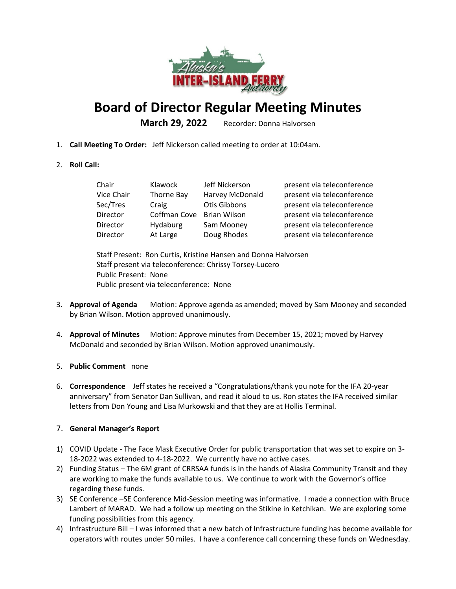

# **Board of Director Regular Meeting Minutes**

**March 29, 2022** Recorder: Donna Halvorsen

- 1. **Call Meeting To Order:** Jeff Nickerson called meeting to order at 10:04am.
- 2. **Roll Call:**

| Chair      | Klawock                   | Jeff Nickerson      | present via teleconference |
|------------|---------------------------|---------------------|----------------------------|
| Vice Chair | Thorne Bay                | Harvey McDonald     | present via teleconference |
| Sec/Tres   | Craig                     | <b>Otis Gibbons</b> | present via teleconference |
| Director   | Coffman Cove Brian Wilson |                     | present via teleconference |
| Director   | Hydaburg                  | Sam Mooney          | present via teleconference |
| Director   | At Large                  | Doug Rhodes         | present via teleconference |

Staff Present: Ron Curtis, Kristine Hansen and Donna Halvorsen Staff present via teleconference: Chrissy Torsey-Lucero Public Present: None Public present via teleconference: None

- 3. **Approval of Agenda** Motion: Approve agenda as amended; moved by Sam Mooney and seconded by Brian Wilson. Motion approved unanimously.
- 4. **Approval of Minutes** Motion: Approve minutes from December 15, 2021; moved by Harvey McDonald and seconded by Brian Wilson. Motion approved unanimously.
- 5. **Public Comment** none
- 6. **Correspondence** Jeff states he received a "Congratulations/thank you note for the IFA 20-year anniversary" from Senator Dan Sullivan, and read it aloud to us. Ron states the IFA received similar letters from Don Young and Lisa Murkowski and that they are at Hollis Terminal.

## 7. **General Manager's Report**

- 1) COVID Update The Face Mask Executive Order for public transportation that was set to expire on 3- 18-2022 was extended to 4-18-2022. We currently have no active cases.
- 2) Funding Status The 6M grant of CRRSAA funds is in the hands of Alaska Community Transit and they are working to make the funds available to us. We continue to work with the Governor's office regarding these funds.
- 3) SE Conference –SE Conference Mid-Session meeting was informative. I made a connection with Bruce Lambert of MARAD. We had a follow up meeting on the Stikine in Ketchikan. We are exploring some funding possibilities from this agency.
- 4) Infrastructure Bill I was informed that a new batch of Infrastructure funding has become available for operators with routes under 50 miles. I have a conference call concerning these funds on Wednesday.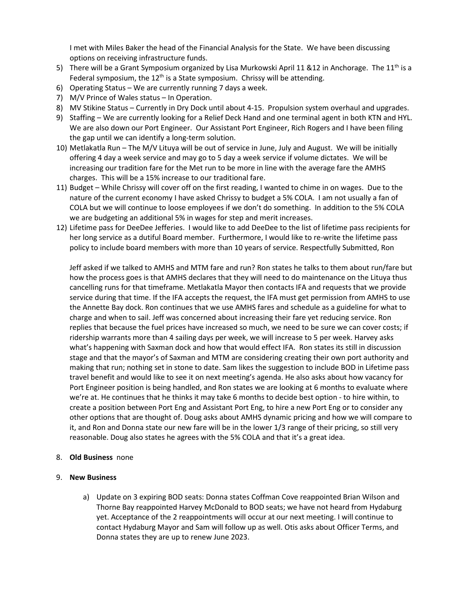I met with Miles Baker the head of the Financial Analysis for the State. We have been discussing options on receiving infrastructure funds.

- 5) There will be a Grant Symposium organized by Lisa Murkowski April 11 &12 in Anchorage. The 11<sup>th</sup> is a Federal symposium, the  $12<sup>th</sup>$  is a State symposium. Chrissy will be attending.
- 6) Operating Status We are currently running 7 days a week.
- 7) M/V Prince of Wales status In Operation.
- 8) MV Stikine Status Currently in Dry Dock until about 4-15. Propulsion system overhaul and upgrades.
- 9) Staffing We are currently looking for a Relief Deck Hand and one terminal agent in both KTN and HYL. We are also down our Port Engineer. Our Assistant Port Engineer, Rich Rogers and I have been filing the gap until we can identify a long-term solution.
- 10) Metlakatla Run The M/V Lituya will be out of service in June, July and August. We will be initially offering 4 day a week service and may go to 5 day a week service if volume dictates. We will be increasing our tradition fare for the Met run to be more in line with the average fare the AMHS charges. This will be a 15% increase to our traditional fare.
- 11) Budget While Chrissy will cover off on the first reading, I wanted to chime in on wages. Due to the nature of the current economy I have asked Chrissy to budget a 5% COLA. I am not usually a fan of COLA but we will continue to loose employees if we don't do something. In addition to the 5% COLA we are budgeting an additional 5% in wages for step and merit increases.
- 12) Lifetime pass for DeeDee Jefferies. I would like to add DeeDee to the list of lifetime pass recipients for her long service as a dutiful Board member. Furthermore, I would like to re-write the lifetime pass policy to include board members with more than 10 years of service. Respectfully Submitted, Ron

Jeff asked if we talked to AMHS and MTM fare and run? Ron states he talks to them about run/fare but how the process goes is that AMHS declares that they will need to do maintenance on the Lituya thus cancelling runs for that timeframe. Metlakatla Mayor then contacts IFA and requests that we provide service during that time. If the IFA accepts the request, the IFA must get permission from AMHS to use the Annette Bay dock. Ron continues that we use AMHS fares and schedule as a guideline for what to charge and when to sail. Jeff was concerned about increasing their fare yet reducing service. Ron replies that because the fuel prices have increased so much, we need to be sure we can cover costs; if ridership warrants more than 4 sailing days per week, we will increase to 5 per week. Harvey asks what's happening with Saxman dock and how that would effect IFA. Ron states its still in discussion stage and that the mayor's of Saxman and MTM are considering creating their own port authority and making that run; nothing set in stone to date. Sam likes the suggestion to include BOD in Lifetime pass travel benefit and would like to see it on next meeting's agenda. He also asks about how vacancy for Port Engineer position is being handled, and Ron states we are looking at 6 months to evaluate where we're at. He continues that he thinks it may take 6 months to decide best option - to hire within, to create a position between Port Eng and Assistant Port Eng, to hire a new Port Eng or to consider any other options that are thought of. Doug asks about AMHS dynamic pricing and how we will compare to it, and Ron and Donna state our new fare will be in the lower 1/3 range of their pricing, so still very reasonable. Doug also states he agrees with the 5% COLA and that it's a great idea.

## 8. **Old Business** none

## 9. **New Business**

a) Update on 3 expiring BOD seats: Donna states Coffman Cove reappointed Brian Wilson and Thorne Bay reappointed Harvey McDonald to BOD seats; we have not heard from Hydaburg yet. Acceptance of the 2 reappointments will occur at our next meeting. I will continue to contact Hydaburg Mayor and Sam will follow up as well. Otis asks about Officer Terms, and Donna states they are up to renew June 2023.